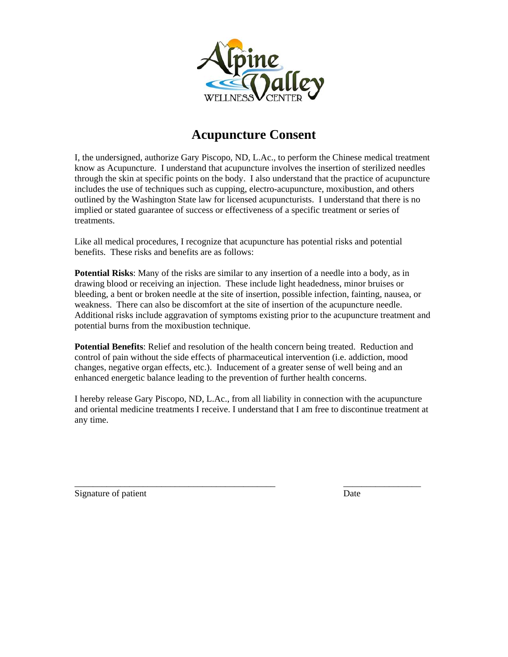

# **Acupuncture Consent**

I, the undersigned, authorize Gary Piscopo, ND, L.Ac., to perform the Chinese medical treatment know as Acupuncture. I understand that acupuncture involves the insertion of sterilized needles through the skin at specific points on the body. I also understand that the practice of acupuncture includes the use of techniques such as cupping, electro-acupuncture, moxibustion, and others outlined by the Washington State law for licensed acupuncturists. I understand that there is no implied or stated guarantee of success or effectiveness of a specific treatment or series of treatments.

Like all medical procedures, I recognize that acupuncture has potential risks and potential benefits. These risks and benefits are as follows:

**Potential Risks**: Many of the risks are similar to any insertion of a needle into a body, as in drawing blood or receiving an injection. These include light headedness, minor bruises or bleeding, a bent or broken needle at the site of insertion, possible infection, fainting, nausea, or weakness. There can also be discomfort at the site of insertion of the acupuncture needle. Additional risks include aggravation of symptoms existing prior to the acupuncture treatment and potential burns from the moxibustion technique.

**Potential Benefits**: Relief and resolution of the health concern being treated. Reduction and control of pain without the side effects of pharmaceutical intervention (i.e. addiction, mood changes, negative organ effects, etc.). Inducement of a greater sense of well being and an enhanced energetic balance leading to the prevention of further health concerns.

I hereby release Gary Piscopo, ND, L.Ac., from all liability in connection with the acupuncture and oriental medicine treatments I receive. I understand that I am free to discontinue treatment at any time.

\_\_\_\_\_\_\_\_\_\_\_\_\_\_\_\_\_\_\_\_\_\_\_\_\_\_\_\_\_\_\_\_\_\_\_\_\_\_\_\_\_\_\_\_ \_\_\_\_\_\_\_\_\_\_\_\_\_\_\_\_\_

Signature of patient Date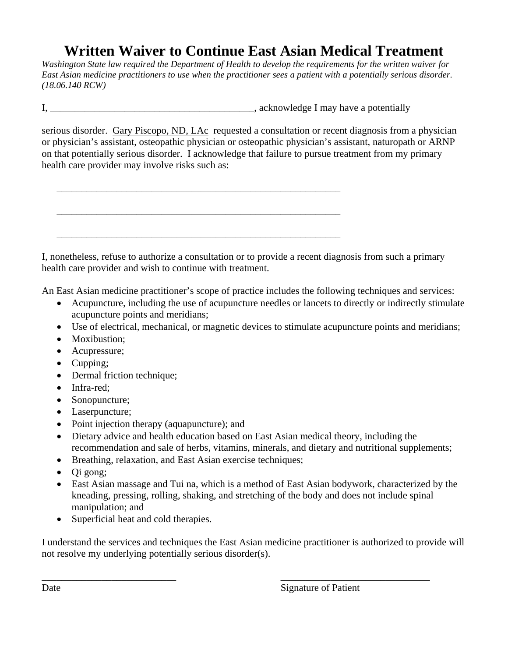# **Written Waiver to Continue East Asian Medical Treatment**

*Washington State law required the Department of Health to develop the requirements for the written waiver for East Asian medicine practitioners to use when the practitioner sees a patient with a potentially serious disorder. (18.06.140 RCW)* 

I, the contract of the contract of the contract of the contract of the contract of the contract of the contract of the contract of the contract of the contract of the contract of the contract of the contract of the contrac

\_\_\_\_\_\_\_\_\_\_\_\_\_\_\_\_\_\_\_\_\_\_\_\_\_\_\_\_\_\_\_\_\_\_\_\_\_\_\_\_\_\_\_\_\_\_\_\_\_\_\_\_\_\_\_\_\_

\_\_\_\_\_\_\_\_\_\_\_\_\_\_\_\_\_\_\_\_\_\_\_\_\_\_\_\_\_\_\_\_\_\_\_\_\_\_\_\_\_\_\_\_\_\_\_\_\_\_\_\_\_\_\_\_\_

\_\_\_\_\_\_\_\_\_\_\_\_\_\_\_\_\_\_\_\_\_\_\_\_\_\_\_\_\_\_\_\_\_\_\_\_\_\_\_\_\_\_\_\_\_\_\_\_\_\_\_\_\_\_\_\_\_

serious disorder. Gary Piscopo, ND, LAc requested a consultation or recent diagnosis from a physician or physician's assistant, osteopathic physician or osteopathic physician's assistant, naturopath or ARNP on that potentially serious disorder. I acknowledge that failure to pursue treatment from my primary health care provider may involve risks such as:

I, nonetheless, refuse to authorize a consultation or to provide a recent diagnosis from such a primary health care provider and wish to continue with treatment.

An East Asian medicine practitioner's scope of practice includes the following techniques and services:

- Acupuncture, including the use of acupuncture needles or lancets to directly or indirectly stimulate acupuncture points and meridians;
- Use of electrical, mechanical, or magnetic devices to stimulate acupuncture points and meridians;
- Moxibustion:
- Acupressure;
- Cupping;
- Dermal friction technique;
- Infra-red:
- Sonopuncture;
- Laserpuncture;
- Point injection therapy (aquapuncture); and
- Dietary advice and health education based on East Asian medical theory, including the recommendation and sale of herbs, vitamins, minerals, and dietary and nutritional supplements;
- Breathing, relaxation, and East Asian exercise techniques;
- $\bullet$  Qi gong;
- East Asian massage and Tui na, which is a method of East Asian bodywork, characterized by the kneading, pressing, rolling, shaking, and stretching of the body and does not include spinal manipulation; and
- Superficial heat and cold therapies.

I understand the services and techniques the East Asian medicine practitioner is authorized to provide will not resolve my underlying potentially serious disorder(s).

\_\_\_\_\_\_\_\_\_\_\_\_\_\_\_\_\_\_\_\_\_\_\_\_\_\_\_ \_\_\_\_\_\_\_\_\_\_\_\_\_\_\_\_\_\_\_\_\_\_\_\_\_\_\_\_\_\_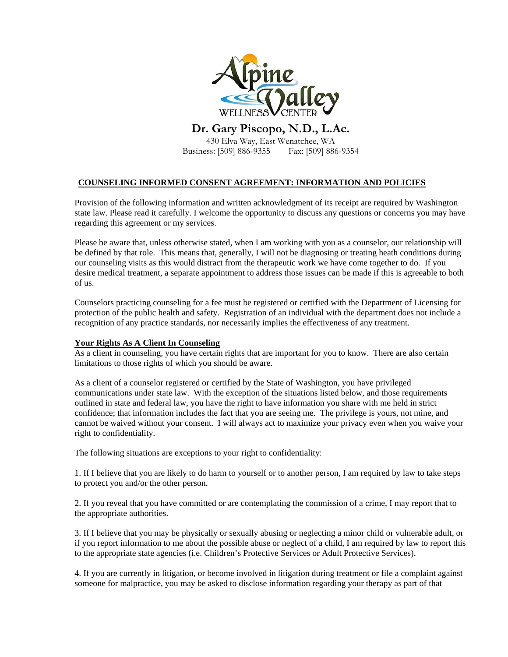

**Dr. Gary Piscopo, N.D., L.Ac.** 

430 Elva Way, East Wenatchee, WA Business: [509] 886-9355 Fax: [509] 886-9354

## **COUNSELING INFORMED CONSENT AGREEMENT: INFORMATION AND POLICIES**

Provision of the following information and written acknowledgment of its receipt are required by Washington state law. Please read it carefully. I welcome the opportunity to discuss any questions or concerns you may have regarding this agreement or my services.

Please be aware that, unless otherwise stated, when I am working with you as a counselor, our relationship will be defined by that role. This means that, generally, I will not be diagnosing or treating heath conditions during our counseling visits as this would distract from the therapeutic work we have come together to do. If you desire medical treatment, a separate appointment to address those issues can be made if this is agreeable to both of us.

Counselors practicing counseling for a fee must be registered or certified with the Department of Licensing for protection of the public health and safety. Registration of an individual with the department does not include a recognition of any practice standards, nor necessarily implies the effectiveness of any treatment.

### **Your Rights As A Client In Counseling**

As a client in counseling, you have certain rights that are important for you to know. There are also certain limitations to those rights of which you should be aware.

As a client of a counselor registered or certified by the State of Washington, you have privileged communications under state law. With the exception of the situations listed below, and those requirements outlined in state and federal law, you have the right to have information you share with me held in strict confidence; that information includes the fact that you are seeing me. The privilege is yours, not mine, and cannot be waived without your consent. I will always act to maximize your privacy even when you waive your right to confidentiality.

The following situations are exceptions to your right to confidentiality:

1. If I believe that you are likely to do harm to yourself or to another person, I am required by law to take steps to protect you and/or the other person.

2. If you reveal that you have committed or are contemplating the commission of a crime, I may report that to the appropriate authorities.

3. If I believe that you may be physically or sexually abusing or neglecting a minor child or vulnerable adult, or if you report information to me about the possible abuse or neglect of a child, I am required by law to report this to the appropriate state agencies (i.e. Children's Protective Services or Adult Protective Services).

4. If you are currently in litigation, or become involved in litigation during treatment or file a complaint against someone for malpractice, you may be asked to disclose information regarding your therapy as part of that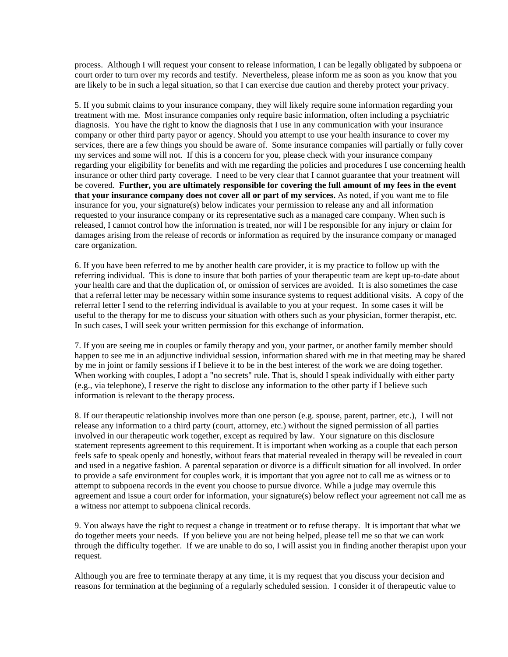process. Although I will request your consent to release information, I can be legally obligated by subpoena or court order to turn over my records and testify. Nevertheless, please inform me as soon as you know that you are likely to be in such a legal situation, so that I can exercise due caution and thereby protect your privacy.

5. If you submit claims to your insurance company, they will likely require some information regarding your treatment with me. Most insurance companies only require basic information, often including a psychiatric diagnosis. You have the right to know the diagnosis that I use in any communication with your insurance company or other third party payor or agency. Should you attempt to use your health insurance to cover my services, there are a few things you should be aware of. Some insurance companies will partially or fully cover my services and some will not. If this is a concern for you, please check with your insurance company regarding your eligibility for benefits and with me regarding the policies and procedures I use concerning health insurance or other third party coverage. I need to be very clear that I cannot guarantee that your treatment will be covered. **Further, you are ultimately responsible for covering the full amount of my fees in the event that your insurance company does not cover all or part of my services.** As noted, if you want me to file insurance for you, your signature(s) below indicates your permission to release any and all information requested to your insurance company or its representative such as a managed care company. When such is released, I cannot control how the information is treated, nor will I be responsible for any injury or claim for damages arising from the release of records or information as required by the insurance company or managed care organization.

6. If you have been referred to me by another health care provider, it is my practice to follow up with the referring individual. This is done to insure that both parties of your therapeutic team are kept up-to-date about your health care and that the duplication of, or omission of services are avoided. It is also sometimes the case that a referral letter may be necessary within some insurance systems to request additional visits. A copy of the referral letter I send to the referring individual is available to you at your request. In some cases it will be useful to the therapy for me to discuss your situation with others such as your physician, former therapist, etc. In such cases, I will seek your written permission for this exchange of information.

7. If you are seeing me in couples or family therapy and you, your partner, or another family member should happen to see me in an adjunctive individual session, information shared with me in that meeting may be shared by me in joint or family sessions if I believe it to be in the best interest of the work we are doing together. When working with couples, I adopt a "no secrets" rule. That is, should I speak individually with either party (e.g., via telephone), I reserve the right to disclose any information to the other party if I believe such information is relevant to the therapy process.

8. If our therapeutic relationship involves more than one person (e.g. spouse, parent, partner, etc.), I will not release any information to a third party (court, attorney, etc.) without the signed permission of all parties involved in our therapeutic work together, except as required by law. Your signature on this disclosure statement represents agreement to this requirement. It is important when working as a couple that each person feels safe to speak openly and honestly, without fears that material revealed in therapy will be revealed in court and used in a negative fashion. A parental separation or divorce is a difficult situation for all involved. In order to provide a safe environment for couples work, it is important that you agree not to call me as witness or to attempt to subpoena records in the event you choose to pursue divorce. While a judge may overrule this agreement and issue a court order for information, your signature(s) below reflect your agreement not call me as a witness nor attempt to subpoena clinical records.

9. You always have the right to request a change in treatment or to refuse therapy. It is important that what we do together meets your needs. If you believe you are not being helped, please tell me so that we can work through the difficulty together. If we are unable to do so, I will assist you in finding another therapist upon your request.

Although you are free to terminate therapy at any time, it is my request that you discuss your decision and reasons for termination at the beginning of a regularly scheduled session. I consider it of therapeutic value to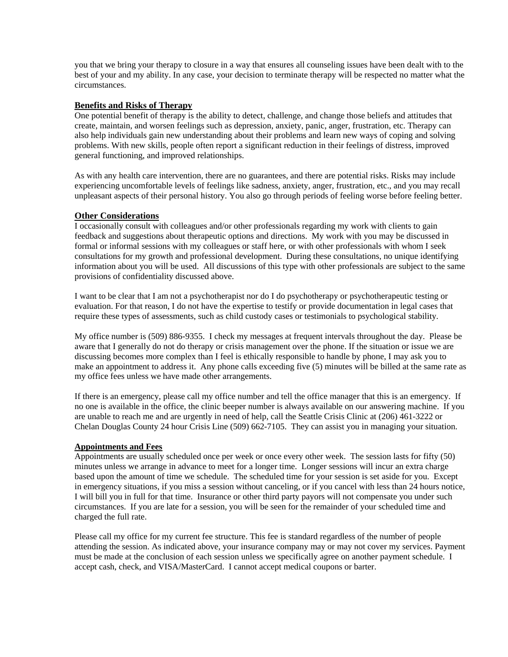you that we bring your therapy to closure in a way that ensures all counseling issues have been dealt with to the best of your and my ability. In any case, your decision to terminate therapy will be respected no matter what the circumstances.

#### **Benefits and Risks of Therapy**

One potential benefit of therapy is the ability to detect, challenge, and change those beliefs and attitudes that create, maintain, and worsen feelings such as depression, anxiety, panic, anger, frustration, etc. Therapy can also help individuals gain new understanding about their problems and learn new ways of coping and solving problems. With new skills, people often report a significant reduction in their feelings of distress, improved general functioning, and improved relationships.

As with any health care intervention, there are no guarantees, and there are potential risks. Risks may include experiencing uncomfortable levels of feelings like sadness, anxiety, anger, frustration, etc., and you may recall unpleasant aspects of their personal history. You also go through periods of feeling worse before feeling better.

#### **Other Considerations**

I occasionally consult with colleagues and/or other professionals regarding my work with clients to gain feedback and suggestions about therapeutic options and directions. My work with you may be discussed in formal or informal sessions with my colleagues or staff here, or with other professionals with whom I seek consultations for my growth and professional development. During these consultations, no unique identifying information about you will be used. All discussions of this type with other professionals are subject to the same provisions of confidentiality discussed above.

I want to be clear that I am not a psychotherapist nor do I do psychotherapy or psychotherapeutic testing or evaluation. For that reason, I do not have the expertise to testify or provide documentation in legal cases that require these types of assessments, such as child custody cases or testimonials to psychological stability.

My office number is (509) 886-9355. I check my messages at frequent intervals throughout the day. Please be aware that I generally do not do therapy or crisis management over the phone. If the situation or issue we are discussing becomes more complex than I feel is ethically responsible to handle by phone, I may ask you to make an appointment to address it. Any phone calls exceeding five (5) minutes will be billed at the same rate as my office fees unless we have made other arrangements.

If there is an emergency, please call my office number and tell the office manager that this is an emergency. If no one is available in the office, the clinic beeper number is always available on our answering machine. If you are unable to reach me and are urgently in need of help, call the Seattle Crisis Clinic at (206) 461-3222 or Chelan Douglas County 24 hour Crisis Line (509) 662-7105. They can assist you in managing your situation.

#### **Appointments and Fees**

Appointments are usually scheduled once per week or once every other week. The session lasts for fifty (50) minutes unless we arrange in advance to meet for a longer time. Longer sessions will incur an extra charge based upon the amount of time we schedule. The scheduled time for your session is set aside for you. Except in emergency situations, if you miss a session without canceling, or if you cancel with less than 24 hours notice, I will bill you in full for that time. Insurance or other third party payors will not compensate you under such circumstances. If you are late for a session, you will be seen for the remainder of your scheduled time and charged the full rate.

Please call my office for my current fee structure. This fee is standard regardless of the number of people attending the session. As indicated above, your insurance company may or may not cover my services. Payment must be made at the conclusion of each session unless we specifically agree on another payment schedule. I accept cash, check, and VISA/MasterCard. I cannot accept medical coupons or barter.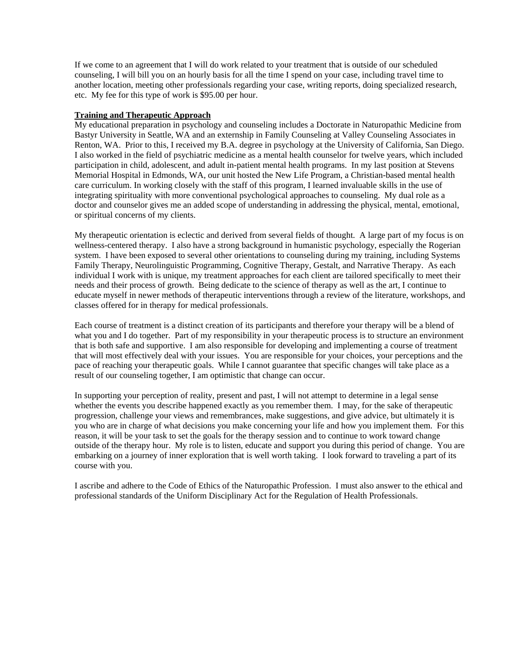If we come to an agreement that I will do work related to your treatment that is outside of our scheduled counseling, I will bill you on an hourly basis for all the time I spend on your case, including travel time to another location, meeting other professionals regarding your case, writing reports, doing specialized research, etc. My fee for this type of work is \$95.00 per hour.

#### **Training and Therapeutic Approach**

My educational preparation in psychology and counseling includes a Doctorate in Naturopathic Medicine from Bastyr University in Seattle, WA and an externship in Family Counseling at Valley Counseling Associates in Renton, WA. Prior to this, I received my B.A. degree in psychology at the University of California, San Diego. I also worked in the field of psychiatric medicine as a mental health counselor for twelve years, which included participation in child, adolescent, and adult in-patient mental health programs. In my last position at Stevens Memorial Hospital in Edmonds, WA, our unit hosted the New Life Program, a Christian-based mental health care curriculum. In working closely with the staff of this program, I learned invaluable skills in the use of integrating spirituality with more conventional psychological approaches to counseling. My dual role as a doctor and counselor gives me an added scope of understanding in addressing the physical, mental, emotional, or spiritual concerns of my clients.

My therapeutic orientation is eclectic and derived from several fields of thought. A large part of my focus is on wellness-centered therapy. I also have a strong background in humanistic psychology, especially the Rogerian system. I have been exposed to several other orientations to counseling during my training, including Systems Family Therapy, Neurolinguistic Programming, Cognitive Therapy, Gestalt, and Narrative Therapy. As each individual I work with is unique, my treatment approaches for each client are tailored specifically to meet their needs and their process of growth. Being dedicate to the science of therapy as well as the art, I continue to educate myself in newer methods of therapeutic interventions through a review of the literature, workshops, and classes offered for in therapy for medical professionals.

Each course of treatment is a distinct creation of its participants and therefore your therapy will be a blend of what you and I do together. Part of my responsibility in your therapeutic process is to structure an environment that is both safe and supportive. I am also responsible for developing and implementing a course of treatment that will most effectively deal with your issues. You are responsible for your choices, your perceptions and the pace of reaching your therapeutic goals. While I cannot guarantee that specific changes will take place as a result of our counseling together, I am optimistic that change can occur.

In supporting your perception of reality, present and past, I will not attempt to determine in a legal sense whether the events you describe happened exactly as you remember them. I may, for the sake of therapeutic progression, challenge your views and remembrances, make suggestions, and give advice, but ultimately it is you who are in charge of what decisions you make concerning your life and how you implement them. For this reason, it will be your task to set the goals for the therapy session and to continue to work toward change outside of the therapy hour. My role is to listen, educate and support you during this period of change. You are embarking on a journey of inner exploration that is well worth taking. I look forward to traveling a part of its course with you.

I ascribe and adhere to the Code of Ethics of the Naturopathic Profession. I must also answer to the ethical and professional standards of the Uniform Disciplinary Act for the Regulation of Health Professionals.